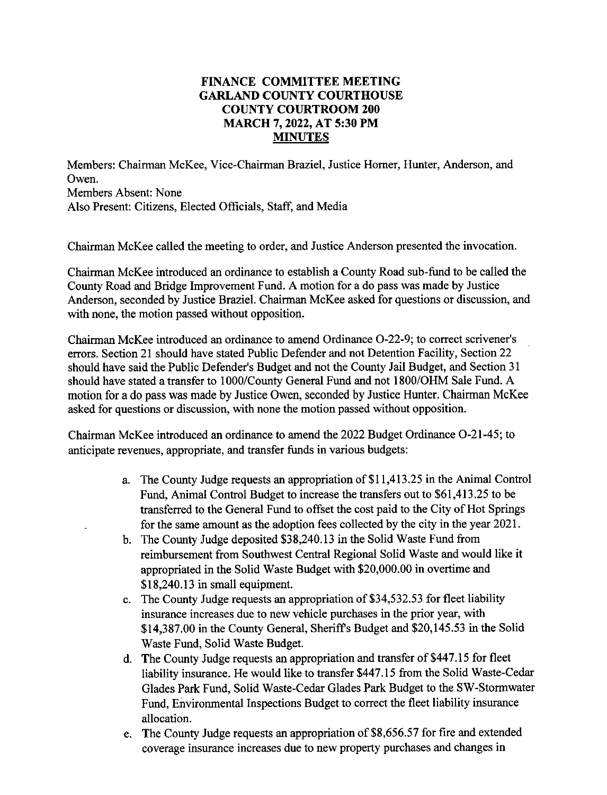## **FINANCE COMMITTEE MEETING GARLAND COUNTY COURTHOUSE COUNTY COURTROOM 200 MARCH** 7, **2022, AT 5:30 PM MINUTES**

Members: Chairman McKee, Vice-Chairman Braziel, Justice Homer, Hunter, Anderson, and Owen. Members Absent: None Also Present: Citizens, Elected Officials, Staff, and Media

Chairman McKee called the meeting to order, and Justice Anderson presented the invocation.

Chairman McKee introduced an ordinance to establish a County Road sub-fund to be called the County Road and Bridge Improvement Fund. A motion for a do pass was made by Justice Anderson, seconded by Justice Braziel. Chairman McKee asked for questions or discussion, and with none, the motion passed without opposition.

Chairman McKee introduced an ordinance to amend Ordinance 0-22-9; to correct scrivener's errors. Section 21 should have stated Public Defender and not Detention Facility, Section 22 should have said the Public Defender's Budget and not the County Jail Budget, and Section 31 should have stated a transfer to 1000/County General Fund and not 1800/OHM Sale Fund. A motion for a do pass was made by Justice Owen, seconded by Justice Hunter. Chairman McKee asked for questions or discussion, with none the motion passed without opposition.

Chairman McKee introduced an ordinance to amend the 2022 Budget Ordinance 0-21-45; to anticipate revenues, appropriate, and transfer funds in various budgets:

- a. The County Judge requests an appropriation of \$11,413.25 in the Animal Control Fund, Animal Control Budget to increase the transfers out to \$61,413.25 to be transferred to the General Fund to offset the cost paid to the City of Hot Springs for the same amount as the adoption fees collected by the city in the year 2021.
- b. The County Judge deposited \$38,240.13 in the Solid Waste Fund from reimbursement from Southwest Central Regional Solid Waste and would like it appropriated in the Solid Waste Budget with \$20,000.00 in overtime and \$18,240.13 in small equipment.
- c. The County Judge requests an appropriation of \$34,532.53 for fleet liability insurance increases due to new vehicle purchases in the prior year, with \$14,387.00 in the County General, Sheriffs Budget and \$20,145.53 in the Solid Waste Fund, Solid Waste Budget.
- d. The County Judge requests an appropriation and transfer of \$447.15 for fleet liability insurance. He would like to transfer \$44 7 .15 from the Solid Waste-Cedar Glades Park Fund, Solid Waste-Cedar Glades Park Budget to the SW-Stormwater Fund, Environmental Inspections Budget to correct the fleet liability insurance allocation.
- e. The County Judge requests an appropriation of \$8,656.57 for fire and extended coverage insurance increases due to new property purchases and changes in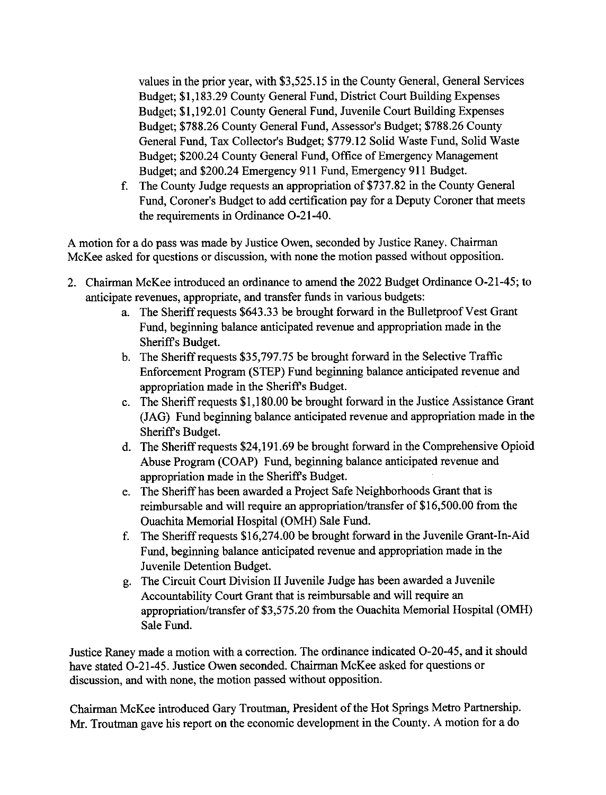values in the prior year, with \$3,525.15 in the County General, General Services Budget; \$1,183.29 County General Fund, District Court Building Expenses Budget; \$1,192.01 County General Fund, Juvenile Court Building Expenses Budget; \$788.26 County General Fund, Assessor's Budget; \$788.26 County General Fund, Tax Collector's Budget; \$779.12 Solid Waste Fund, Solid Waste Budget; \$200.24 County General Fund, Office of Emergency Management Budget; and \$200.24 Emergency 911 Fund, Emergency 911 Budget.

f. The County Judge requests an appropriation of \$737.82 in the County General Fund, Coroner's Budget to add certification pay for a Deputy Coroner that meets the requirements in Ordinance 0-21-40.

A motion for a do pass was made by Justice Owen, seconded by Justice Raney. Chairman McKee asked for questions or discussion, with none the motion passed without opposition.

- 2. Chairman McKee introduced an ordinance to amend the 2022 Budget Ordinance 0-21-45; to anticipate revenues, appropriate, and transfer funds in various budgets:
	- a. The Sheriff requests \$643.33 be brought forward in the Bulletproof Vest Grant Fund, beginning balance anticipated revenue and appropriation made in the Sheriffs Budget.
	- b. The Sheriff requests \$35,797.75 be brought forward in the Selective Traffic Enforcement Program (STEP) Fund beginning balance anticipated revenue and appropriation made in the Sheriffs Budget.
	- c. The Sheriff requests \$1,180.00 be brought forward in the Justice Assistance Grant (JAG) Fund beginning balance anticipated revenue and appropriation made in the Sheriffs Budget.
	- d. The Sheriff requests \$24,191.69 be brought forward in the Comprehensive Opioid Abuse Program (COAP) Fund, beginning balance anticipated revenue and appropriation made in the Sheriffs Budget.
	- e. The Sheriff has been awarded a Project Safe Neighborhoods Grant that is reimbursable and will require an appropriation/transfer of \$16,500.00 from the Ouachita Memorial Hospital (OMH) Sale Fund.
	- f. The Sheriff requests \$16,274.00 be brought forward in the Juvenile Grant-In-Aid Fund, beginning balance anticipated revenue and appropriation made in the Juvenile Detention Budget.
	- g. The Circuit Court Division II Juvenile Judge has been awarded a Juvenile Accountability Court Grant that is reimbursable and will require an appropriation/transfer of \$3,575.20 from the Ouachita Memorial Hospital (OMH) Sale Fund.

Justice Raney made a motion with a correction. The ordinance indicated 0-20-45, and it should have stated 0-21-45. Justice Owen seconded. Chairman McKee asked for questions or discussion, and with none, the motion passed without opposition.

Chairman McKee introduced Gary Troutman, President of the Hot Springs Metro Partnership. Mr. Troutman gave his report on the economic development in the County. A motion for a do